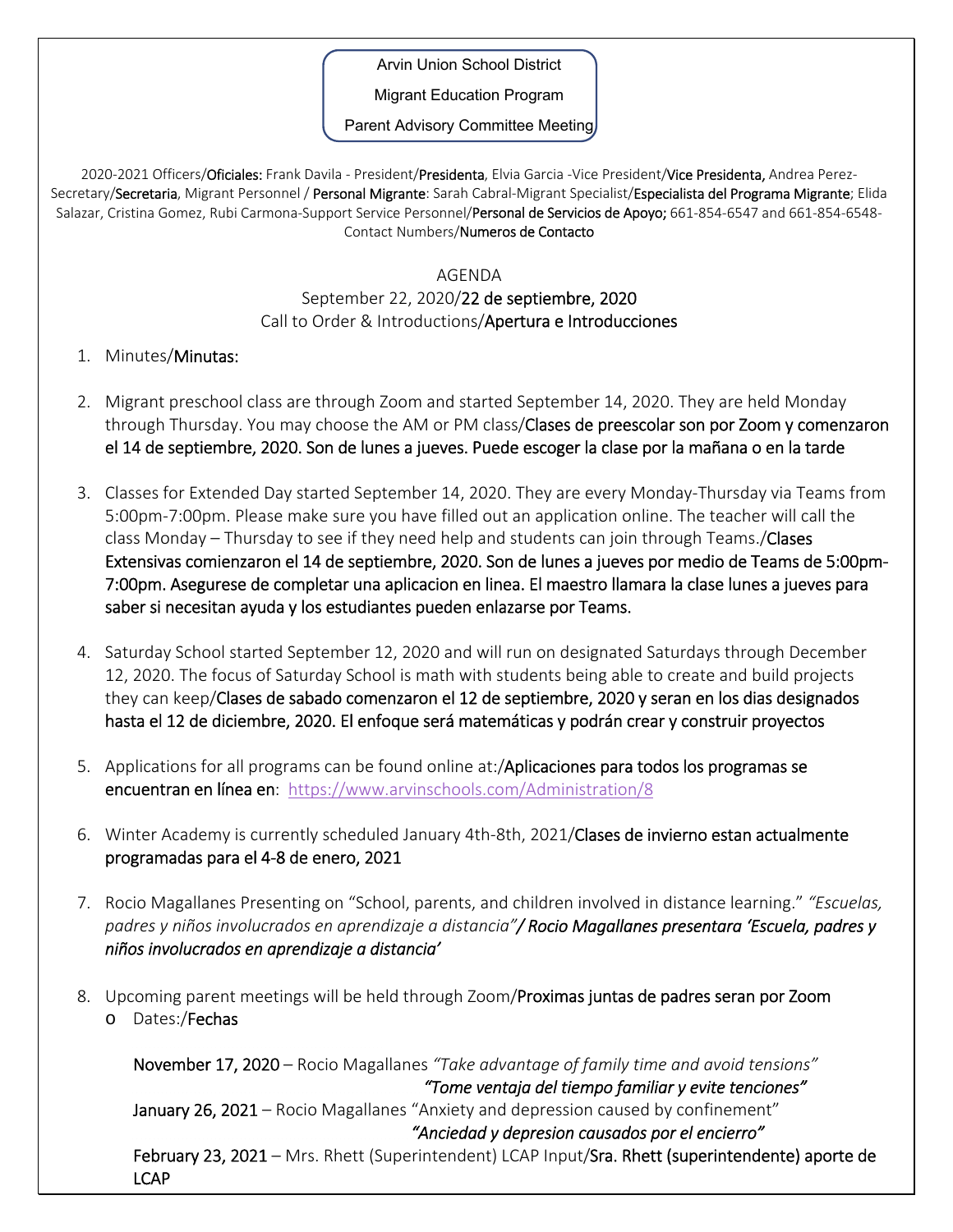Arvin Union School District

Migrant Education Program

Parent Advisory Committee Meeting

2020-2021 Officers/Oficiales: Frank Davila - President/Presidenta, Elvia Garcia -Vice President/Vice Presidenta, Andrea Perez-Secretary/Secretaria, Migrant Personnel / Personal Migrante: Sarah Cabral-Migrant Specialist/Especialista del Programa Migrante; Elida Salazar, Cristina Gomez, Rubi Carmona-Support Service Personnel/Personal de Servicios de Apoyo; 661-854-6547 and 661-854-6548-Contact Numbers/Numeros de Contacto

## AGENDA

## September 22, 2020/22 de septiembre, 2020 Call to Order & Introductions/Apertura e Introducciones

- 1. Minutes/Minutas:
- 2. Migrant preschool class are through Zoom and started September 14, 2020. They are held Monday through Thursday. You may choose the AM or PM class/Clases de preescolar son por Zoom y comenzaron el 14 de septiembre, 2020. Son de lunes a jueves. Puede escoger la clase por la mañana o en la tarde
- 3. Classes for Extended Day started September 14, 2020. They are every Monday‐Thursday via Teams from 5:00pm‐7:00pm. Please make sure you have filled out an application online. The teacher will call the class Monday – Thursday to see if they need help and students can join through Teams./Clases Extensivas comienzaron el 14 de septiembre, 2020. Son de lunes a jueves por medio de Teams de 5:00pm‐ 7:00pm. Asegurese de completar una aplicacion en linea. El maestro llamara la clase lunes a jueves para saber si necesitan ayuda y los estudiantes pueden enlazarse por Teams.
- 4. Saturday School started September 12, 2020 and will run on designated Saturdays through December 12, 2020. The focus of Saturday School is math with students being able to create and build projects they can keep/Clases de sabado comenzaron el 12 de septiembre, 2020 y seran en los dias designados hasta el 12 de diciembre, 2020. El enfoque será matemáticas y podrán crear y construir proyectos
- 5. Applications for all programs can be found online at:/Aplicaciones para todos los programas se encuentran en línea en: https://www.arvinschools.com/Administration/8
- 6. Winter Academy is currently scheduled January 4th-8th, 2021/Clases de invierno estan actualmente programadas para el 4‐8 de enero, 2021
- 7. Rocio Magallanes Presenting on "School, parents, and children involved in distance learning." *"Escuelas, padres y niños involucrados en aprendizaje a distancia"/ Rocio Magallanes presentara 'Escuela, padres y niños involucrados en aprendizaje a distancia'*
- 8. Upcoming parent meetings will be held through Zoom/Proximas juntas de padres seran por Zoom o Dates:/Fechas

November 17, 2020 – Rocio Magallanes *"Take advantage of family time and avoid tensions" "Tome ventaja del tiempo familiar y evite tenciones"* January 26, 2021 – Rocio Magallanes "Anxiety and depression caused by confinement"  *"Anciedad y depresion causados por el encierro"* February 23, 2021 – Mrs. Rhett (Superintendent) LCAP Input/Sra. Rhett (superintendente) aporte de LCAP